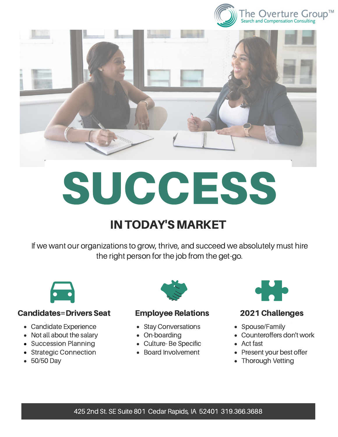



# SUCCESS

## **IN TODAY'S MARKET**

If we want our organizations to grow, thrive, and succeed we absolutely must hire the right person for the job from the get-go.



### Candidates=Drivers Seat Employee Relations 2021 Challenges

- Candidate Experience
- Not all about the salary
- Succession Planning
- Strategic Connection
- 50/50 Day



- Stay Conversations
- On-boarding
- Culture- Be Specific
- Board Involvement



- Spouse/Family
- Counteroffers don't work
- Act fast
- Present your best offer
- Thorough Vetting